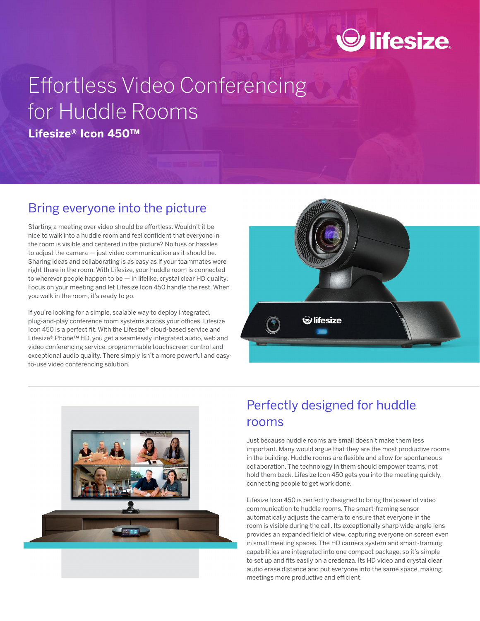## $\odot$  lifesize.

# Effortless Video Conferencing for Huddle Rooms

**Lifesize® Icon 450™**

## Bring everyone into the picture

Starting a meeting over video should be effortless. Wouldn't it be nice to walk into a huddle room and feel confident that everyone in the room is visible and centered in the picture? No fuss or hassles to adjust the camera — just video communication as it should be. Sharing ideas and collaborating is as easy as if your teammates were right there in the room. With Lifesize, your huddle room is connected to wherever people happen to be — in lifelike, crystal clear HD quality. Focus on your meeting and let Lifesize Icon 450 handle the rest. When you walk in the room, it's ready to go.

If you're looking for a simple, scalable way to deploy integrated, plug-and-play conference room systems across your offices, Lifesize Icon 450 is a perfect fit. With the Lifesize® cloud-based service and Lifesize® Phone™ HD, you get a seamlessly integrated audio, web and video conferencing service, programmable touchscreen control and exceptional audio quality. There simply isn't a more powerful and easyto-use video conferencing solution.





## Perfectly designed for huddle rooms

Just because huddle rooms are small doesn't make them less important. Many would argue that they are the most productive rooms in the building. Huddle rooms are flexible and allow for spontaneous collaboration. The technology in them should empower teams, not hold them back. Lifesize Icon 450 gets you into the meeting quickly, connecting people to get work done.

Lifesize Icon 450 is perfectly designed to bring the power of video communication to huddle rooms. The smart-framing sensor automatically adjusts the camera to ensure that everyone in the room is visible during the call. Its exceptionally sharp wide-angle lens provides an expanded field of view, capturing everyone on screen even in small meeting spaces. The HD camera system and smart-framing capabilities are integrated into one compact package, so it's simple to set up and fits easily on a credenza. Its HD video and crystal clear audio erase distance and put everyone into the same space, making meetings more productive and efficient.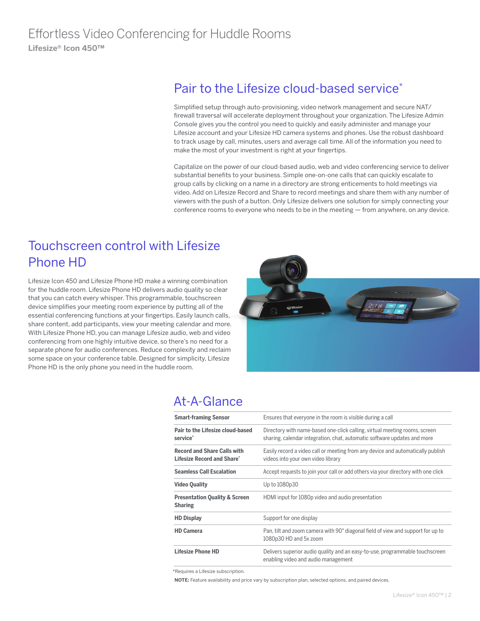## Pair to the Lifesize cloud-based service<sup>\*</sup>

Simplified setup through auto-provisioning, video network management and secure NAT/ firewall traversal will accelerate deployment throughout your organization. The Lifesize Admin Console gives you the control you need to quickly and easily administer and manage your Lifesize account and your Lifesize HD camera systems and phones. Use the robust dashboard to track usage by call, minutes, users and average call time. All of the information you need to make the most of your investment is right at your fingertips.

Capitalize on the power of our cloud-based audio, web and video conferencing service to deliver substantial benefits to your business. Simple one-on-one calls that can quickly escalate to group calls by clicking on a name in a directory are strong enticements to hold meetings via video. Add on Lifesize Record and Share to record meetings and share them with any number of viewers with the push of a button. Only Lifesize delivers one solution for simply connecting your conference rooms to everyone who needs to be in the meeting — from anywhere, on any device.

## Touchscreen control with Lifesize Phone HD

Lifesize Icon 450 and Lifesize Phone HD make a winning combination for the huddle room. Lifesize Phone HD delivers audio quality so clear that you can catch every whisper. This programmable, touchscreen device simplifies your meeting room experience by putting all of the essential conferencing functions at your fingertips. Easily launch calls, share content, add participants, view your meeting calendar and more. With Lifesize Phone HD, you can manage Lifesize audio, web and video conferencing from one highly intuitive device, so there's no need for a separate phone for audio conferences. Reduce complexity and reclaim some space on your conference table. Designed for simplicity, Lifesize Phone HD is the only phone you need in the huddle room.



### At-A-Glance

| <b>Smart-framing Sensor</b>                                      | Ensures that everyone in the room is visible during a call                                                                                             |
|------------------------------------------------------------------|--------------------------------------------------------------------------------------------------------------------------------------------------------|
| Pair to the Lifesize cloud-based<br>service <sup>*</sup>         | Directory with name-based one-click calling, virtual meeting rooms, screen<br>sharing, calendar integration, chat, automatic software updates and more |
| <b>Record and Share Calls with</b><br>Lifesize Record and Share* | Easily record a video call or meeting from any device and automatically publish<br>videos into your own video library                                  |
| <b>Seamless Call Escalation</b>                                  | Accept requests to join your call or add others via your directory with one click                                                                      |
| <b>Video Quality</b>                                             | Up to 1080p30                                                                                                                                          |
| <b>Presentation Quality &amp; Screen</b><br><b>Sharing</b>       | HDMI input for 1080p video and audio presentation                                                                                                      |
| <b>HD Display</b>                                                | Support for one display                                                                                                                                |
| <b>HD Camera</b>                                                 | Pan, tilt and zoom camera with 90° diagonal field of view and support for up to<br>1080p30 HD and 5x zoom                                              |
| <b>Lifesize Phone HD</b>                                         | Delivers superior audio quality and an easy-to-use, programmable touchscreen<br>enabling video and audio management                                    |

\*Requires a Lifesize subscription.

**NOTE:** Feature availability and price vary by subscription plan, selected options, and paired devices.